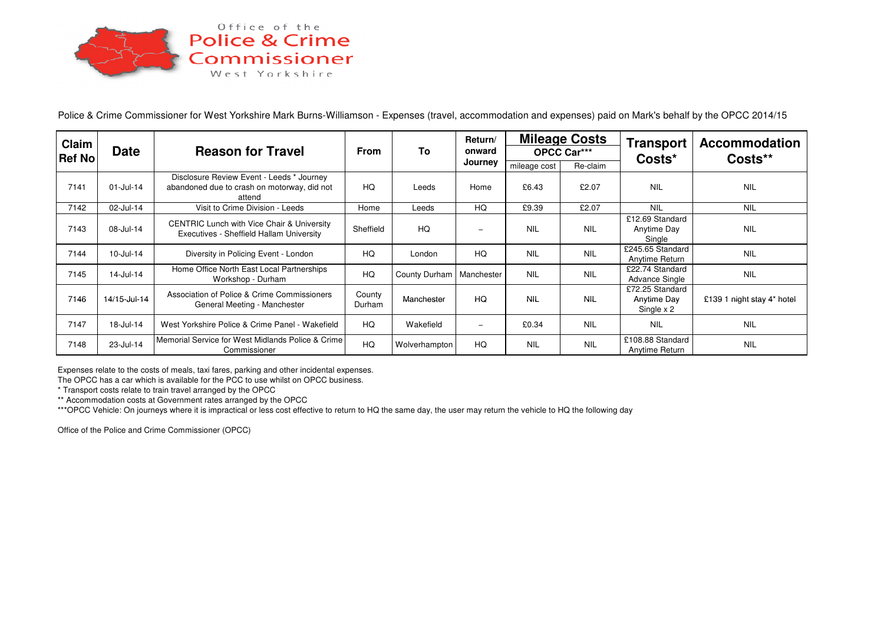

Police & Crime Commissioner for West Yorkshire Mark Burns-Williamson - Expenses (travel, accommodation and expenses) paid on Mark's behalf by the OPCC 2014/15

| Claim<br><b>Ref No</b> | <b>Date</b>  | <b>Reason for Travel</b>                                                                           | <b>From</b>      | To                         | Return/<br>onward<br>Journey | <b>Mileage Costs</b><br>OPCC Car*** |            | <b>Transport</b><br>Costs*                          | <b>Accommodation</b><br>Costs** |
|------------------------|--------------|----------------------------------------------------------------------------------------------------|------------------|----------------------------|------------------------------|-------------------------------------|------------|-----------------------------------------------------|---------------------------------|
|                        |              |                                                                                                    |                  |                            |                              | mileage cost                        | Re-claim   |                                                     |                                 |
| 7141                   | $01$ -Jul-14 | Disclosure Review Event - Leeds * Journey<br>abandoned due to crash on motorway, did not<br>attend | HQ               | Leeds                      | Home                         | £6.43                               | £2.07      | <b>NIL</b>                                          | <b>NIL</b>                      |
| 7142                   | 02-Jul-14    | Visit to Crime Division - Leeds                                                                    | Home             | Leeds                      | HQ                           | £9.39                               | £2.07      | <b>NIL</b>                                          | <b>NIL</b>                      |
| 7143                   | 08-Jul-14    | <b>CENTRIC Lunch with Vice Chair &amp; University</b><br>Executives - Sheffield Hallam University  | Sheffield        | HQ                         | $\overline{\phantom{0}}$     | <b>NIL</b>                          | <b>NIL</b> | £12.69 Standard<br>Anytime Day<br>Single            | <b>NIL</b>                      |
| 7144                   | 10-Jul-14    | Diversity in Policing Event - London                                                               | HQ               | London                     | HQ                           | <b>NIL</b>                          | <b>NIL</b> | £245.65 Standard<br><b>Anytime Return</b>           | <b>NIL</b>                      |
| 7145                   | 14-Jul-14    | Home Office North East Local Partnerships<br>Workshop - Durham                                     | HQ               | County Durham   Manchester |                              | <b>NIL</b>                          | <b>NIL</b> | £22.74 Standard<br><b>Advance Single</b>            | <b>NIL</b>                      |
| 7146                   | 14/15-Jul-14 | Association of Police & Crime Commissioners<br>General Meeting - Manchester                        | County<br>Durham | Manchester                 | HQ                           | <b>NIL</b>                          | <b>NIL</b> | £72.25 Standard<br><b>Anytime Day</b><br>Single x 2 | £139 1 night stay 4* hotel      |
| 7147                   | 18-Jul-14    | West Yorkshire Police & Crime Panel - Wakefield                                                    | HQ               | Wakefield                  | $\overline{\phantom{0}}$     | £0.34                               | <b>NIL</b> | <b>NIL</b>                                          | <b>NIL</b>                      |
| 7148                   | 23-Jul-14    | Memorial Service for West Midlands Police & Crime<br>Commissioner                                  | HQ               | Wolverhampton              | HQ                           | <b>NIL</b>                          | <b>NIL</b> | £108.88 Standard<br>Anytime Return                  | <b>NIL</b>                      |

Expenses relate to the costs of meals, taxi fares, parking and other incidental expenses.

The OPCC has a car which is available for the PCC to use whilst on OPCC business.

\* Transport costs relate to train travel arranged by the OPCC

\*\* Accommodation costs at Government rates arranged by the OPCC

\*\*\*OPCC Vehicle: On journeys where it is impractical or less cost effective to return to HQ the same day, the user may return the vehicle to HQ the following day

Office of the Police and Crime Commissioner (OPCC)